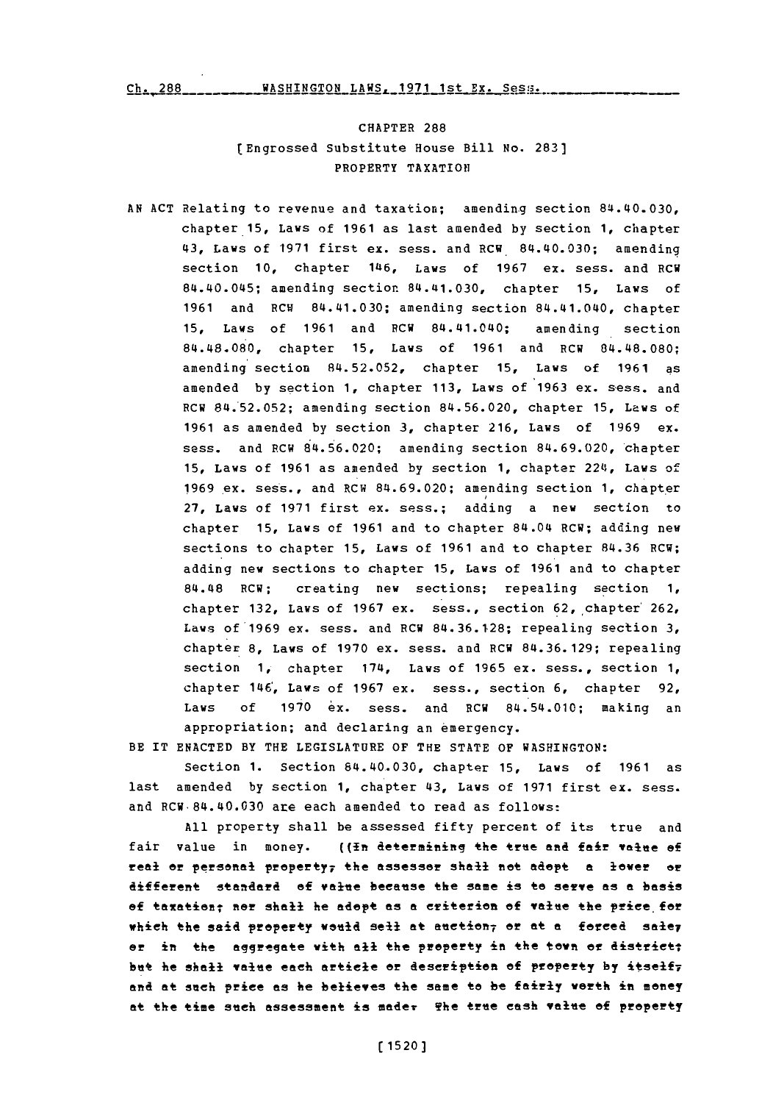$Ch. 288$  \_\_\_\_\_\_\_\_\_\_ WASHINGTON LAWS, 1971 1st Ex. Sess.

# CHAPTER 288 [Engrossed Substitute House Bill No. **283]** PROPERTY TAXATION

**AN ACT** Relating to revenue and taxation; amending section 84.40.030, chapter **15,** Laws of **1961** as last amended **by** section **1,** chapter 43, Laws of **'1971** first ex. sess. and RCW. 84.40.030; amending section **10,** chapter 1146, Laws of **1967** ex. sess. and RCW 84.40.045; amending section 84.41.030, chapter **15,** Laws of **1961** and RCW 84.41.030; amending section 84.41.040, chapter **15,** Laws of **1961** and RCW 84.41.040; amending section 84.48.080, chapter **15,** Laws of **1961** and RCW 84.48.080; amending section **84.52.052,** chapter **15,** Laws of **1961** as amended **by** section **1,** chapter **113,** Laws of **1963** ex. sess. and RCW **84.52.052;** amending section **84.56.020,** chapter **15,** Laws of **1961** as amended **by** section **3,** chapter **216,** Laws of **1969** ex. sess. and P.CW 84.56.020; amending section **84.69.020,** chapter **15,** Laws of **1961** as amended **by** section **1,** chapter 2214, Laws of 1969 ex. sess., and RCW **84.69.020;** amending section **1,** chapter **27,** Laws of **1971** first ex. sess.; adding a new section to chapter **15,** Laws of **1961** and to chapter 84.04 RCW; adding new sections to chapter **15,** Laws of **1961** and to chapter **84.36** RCW; adding new sections to chapter **15,** Laws of **1961** and to chapter 84.48 RCW; creating new sections; repealing section **1,** chapter **132,** Laws of **1967** ex. sess., section 62,,chapter' 262, Laws of'1969 ex. sess. and RCW **84.36.128;** repealing section **3,** chapter **8,** Laws of **1970** ex. sess. and RCW **84.36. 129;** repealing section **1,** chapter 1714, Laws of **1965** ex. sess., section **1,** chapter 146', Laws of **1967** ex. sess., section **6,** chapter **92,** Laws **of 1970** ex. sess. and RCW 84.54.010; making an appropriation; and declaring an emergency.

BE IT **ENACTED** BY THE LEGISLATURE OF THE **STATE** OF WASHINGTON:

Section **1.** Section 84.40.030, chapter **15,** Laws of **1961** as last amended **by** section **1,** chapter 43, Laws of **1971** first ex. sess. and RCW.84.40.030 are each amended to read as follows:

**All** property shall be assessed fifty percent of its true and fair value in money. ((<del>In determining the true and fair value of</del> real~ **0!** personal fpraperty7 the assessor shall net adopt **a** lower or difeent standard of value because the same is to sevye **as a** basis of taxation; nor shall he adopt as a criterion of value the price for which the said property would sell at auction<sub>7</sub> or at a *forced* saley or in the aggregate with all the property in the town or district; but hie shall value each article or description **ef** property **by** itself7 and at such price as he believes the same to be fairly worth in money **at** the time such assessment **is** mader The tree cash value **of** property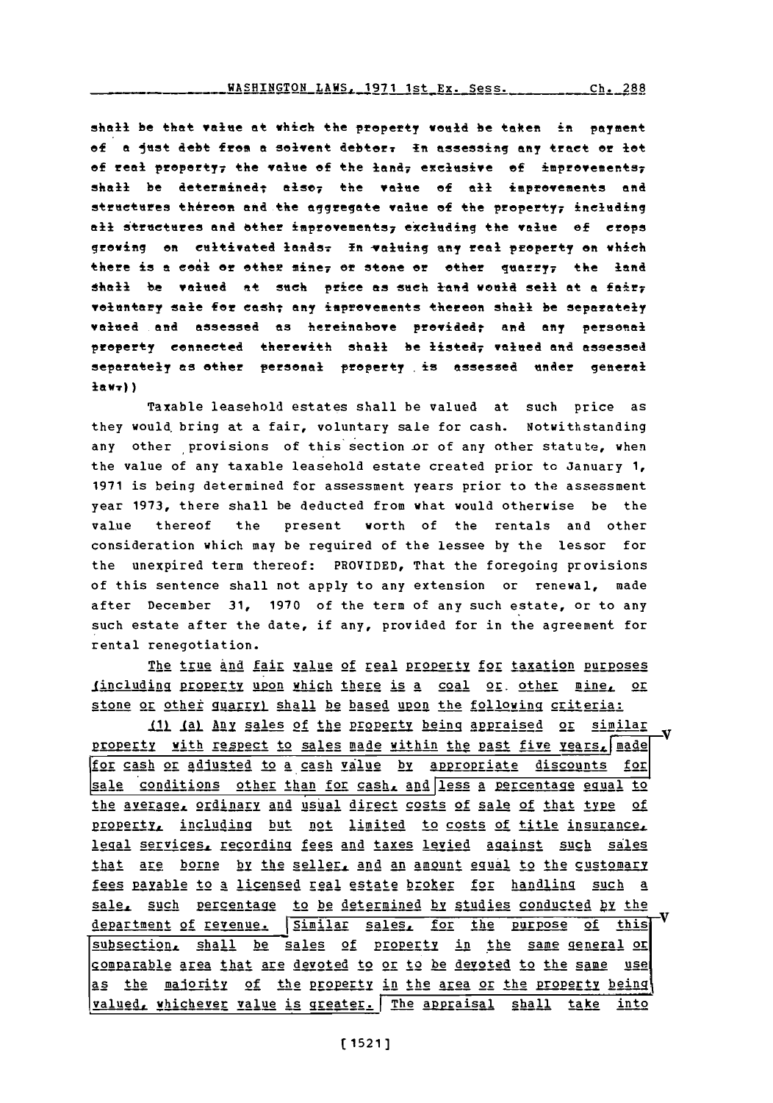shall be that value at which the property weud be taken im payment **of a** lest debt fres a solvent debterr **In** assessing any treet or let of real property<sub>7</sub> the value of the land<sub>7</sub> exclusive of *improvements*; shall be determined; also, the value of all improvements and structures thereon and the aggregate value of the property; including all structures and other improvements<sub>7</sub> excluding the value of crops growing on cultivated lands. In valuing any real property on which there is a coal or other mine<sub>7</sub> or stone or other quarry<sub>7</sub> the land shall be valued at sueh price as seh lend **weld** sell at a fairy veluntary sale for easht any imprevements thereen shall be separately valued and assessed as hereinabove provided; and any personal property connected therewith shall be listed7 valned **and** assessed separately as other personal property is assessed under general **hawv))**

Taxable leasehold estates shall be valued at such price as they would bring at a fair, voluntary sale for cash. Notwithstanding any other provisions of this section or of any other statute, when the value of any taxable leasehold estate created prior to January **1, 1971** is being determined for assessment years prior to the assessment year **1973,** there shall be deducted from what would otherwise be the value thereof the present worth of the rentals and other consideration which may be required of the lessee **by** the lessor for the unexpired term thereof: PROVIDED, That the foregoing provisions of this sentence shall not apply to any extension or renewal, made after December **31, 1970** of the term of any such estate, or to any such estate after the date, if any, provided for in the agreement for rental renegotiation.

The true and fair value of real property for taxation purposes including property upon whigh there is a coal or. other mine, or stone or other guarryl shall be based upon the following criteria:

111 Ial Any sales of the property being appraised or similar property with respect to sales made within the past five years. made for cash or adjusted to a cash value by appropriate discounts for sale conditions other than for cash, and less a percentage equal to the average, ordinary and usual direct costs of sale of that type of property, including but not limited to costs of title insurance, legal services. recordipg fees and taxes levied against such sales that are borne **by** the seller. and an amount **ggual** to the customary fees payable to a licensed real estate broker for handling such a sale, such percentage to be determined by studies conducted by the department of revenue. Similar sales, for the purpose of this subsection, shall be sales of property in the same general or gomparable area that are devoted to or to be devoted to the same use as the majority of the property in the area or the property being <u>valued, whichever value is greater. The appraisal shall take into</u>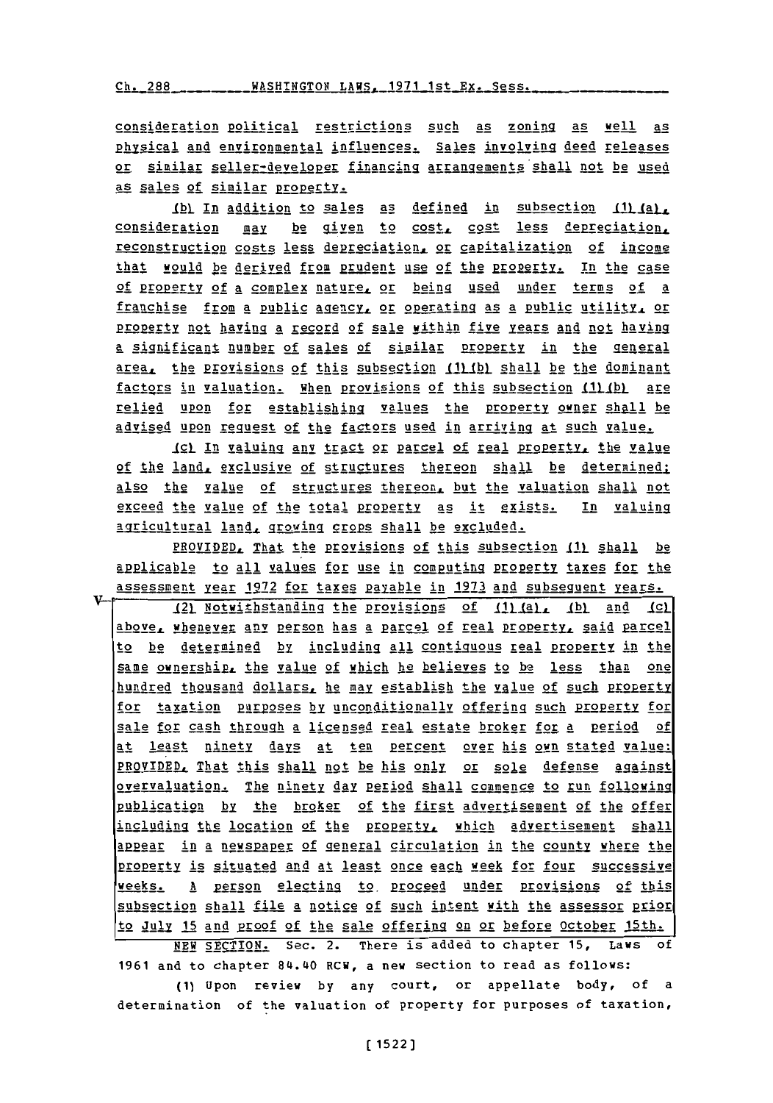$Ch. 288$  WASHINGTON LAWS, 1971 1st Ex. Sess.

consideration political restrictions such as zoning as well as physical and environmental influences. Sales involving deed releases or similar seller-developer financing arragements shall not be used as sales of similar property.

*Ibl* In addition to sales as defined in subsection 111 (a), consideration may be given to cost, cost less depreciation, reconstruction costs less depreciation. or capitalization of income that would be derived from prudent use **of** the progprty. In the case of property of a complex nature, or being used under terms of a franchise from a public agency, or operating as a public utility, or Property not having a record of sale within five years and not having a significant number of sales of similar property in the general area, the provisions of this subsection (1) (b) shall be the dominant factors in valuation. When provisions of this subsection (1) (b) are relied upon for establishing values the property owner shall be advised upon request of the factors used in arriving at such value.

191. **In** val.uing any tract or parcel of real properjy\_ the value **of** the land, exclusive of structures thereon shall be determined also the value of structures thereon, but the valuation shall not exceed the value of the total **propgety** as it exists. In valuing agricultural land, growing grops shall be excluded.

PROVIDED, That the provisions of this subsection **JI) shall** be applicable to all values for use in computing property taxes for the assessment *year 1972 for taxes payable in 1973 and subseguent years.* 

121 Notwithstanding the provisions of 111 (a), (b) and 1cl aboveR whenever any grson has a parcel **of** real prerty, said parcel to be determined by including all contiguous real property in the same ownership, the value of which he believes to be less than one hundred thousand dollars, he may establish the value of such property for taxation purposes by unconditionally offering such property for sale for cash through a licensed real estate broker for a period of at least ninety jays at ten percent over his own stated value: PROVIDED, That this shall not be his only or sole defense against overvaluation. The ninety **day** period shall commence to run following publication **by** the broker of the first advertisement of the offer including the location of the property, which advertisement shall appear in a newspaper of general circulation in the county where the **p21pelty** is situated and at least once each week for four successive weeks. A person electing to proceed under provisions of this subsection shall file a notice of such intent with the assessor prior to July **15** and proof of the sale offering on or before October 15th.

**NEW** SECTION. Sec. 2. There is added to chapter **15,** Laws of **1961** and to chapter 84.40 RCW, a new section to read as follows:

**(1)** Upon review **by** any court, or appellate body, of a determination of the valuation of property for purposes of taxation,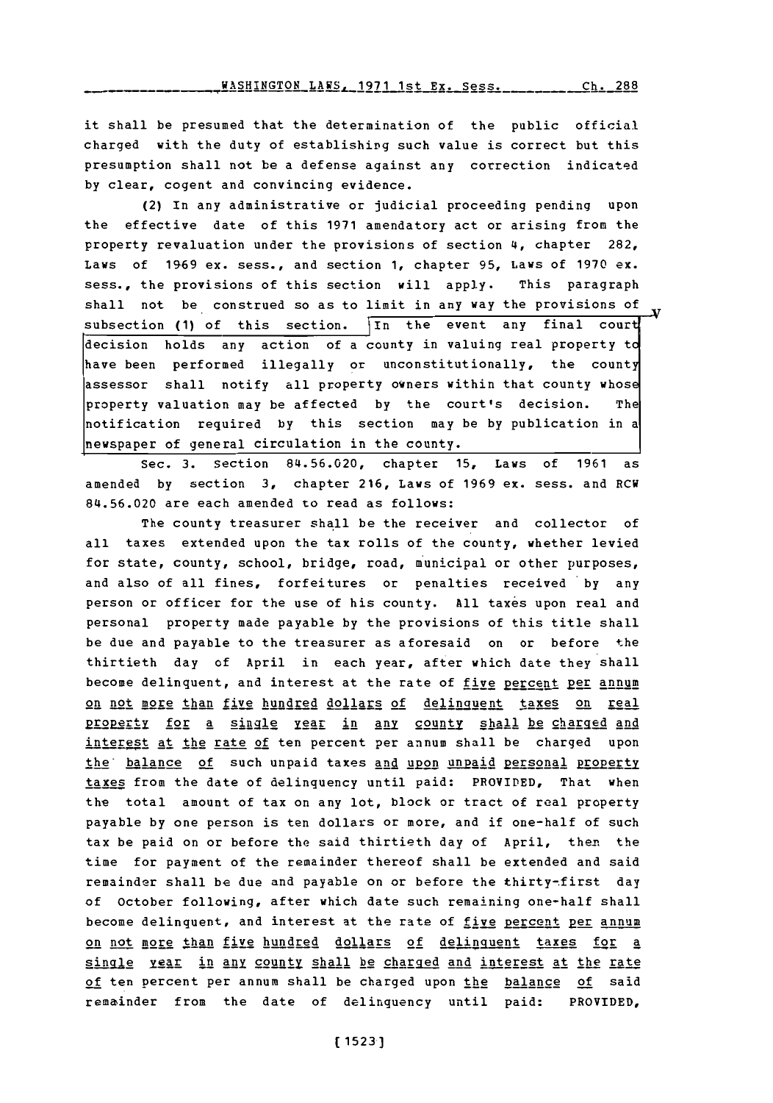**WASHINGTON LAWS, 1971 1st Ex. Sess. 288** 

it shall be presumed that the determination of the public official charged with the duty of establishing such value is correct but this presumption shall not be a defense against any correction indicated **by** clear, cogent and convincing evidence.

(2) In any administrative or judicial proceeding pending upon the effective date of this **1971** amendatory act or arising from the property revaluation under the provisions of section **14,** chapter **282,** Laws of **1969** ex. sess., and section **1,** chapter **95,** Laws of **1970** ex. sess., the provisions of this section will apply. This paragraph shall not be construed so as to limit in any way the provisions of subsection (1) of this section. In the event any final court decision holds any action of a county in valuing real property to have been performed illegally or unconstitutionally, the county assessor shall notify all property owners within that county whose property valuation may be affected **by** the court's decision. The notification required **by** this section may be **by** publication in a newspaper of general circulation in the county.

Sec. **3.** Section **84.56.020,** chapter **15,** Laws of **1961** as amended **by** section **3,** chapter **216,** Laws of **1969** ex. sess. and RCW 84.56.020 are each amended to read as follows:

The county treasurer shall be the receiver and collector of all taxes extended upon the tax rolls of the county, whether levied for state, county, school, bridge, road, municipal or other purposes, and also of all fines, forfeitures or penalties received **by** any person or officer for the use of his county. All taxes upon real and personal property made payable **by** the provisions of this title shall be due and payable to the treasurer as aforesaid on or before the thirtieth day of April in each year, after which date they shall become delinquent, and interest at the rate of five percent per annum on not more than five hundred dollars of delinguent taxes on real property for a single year in any county shall be charged and interest at the rate of ten percent per annum shall be charged upon the balance of such unpaid taxes and upon unpaid personal property taxes from the date of delinquency until paid: PROVIDED, That when the total amount of tax on any lot, block or tract of real property payable **by** one person is ten dollars or more, and if one-half of such tax be paid on or before the said thirtieth day of April, then the time for payment of the remainder thereof shall be extended and said remainder shall be due and payable on or before the thirty-first day of October following, after which date such remaining one-half shall become delinquent, and interest at the rate of five percent per annum on not more than five hundred dollars of delinquent taxes for a single year in any county shall be charged and interest at the rate of ten percent per annum shall be charged upon the balance of said remainder from the date of delinquency until paid: PROVIDED,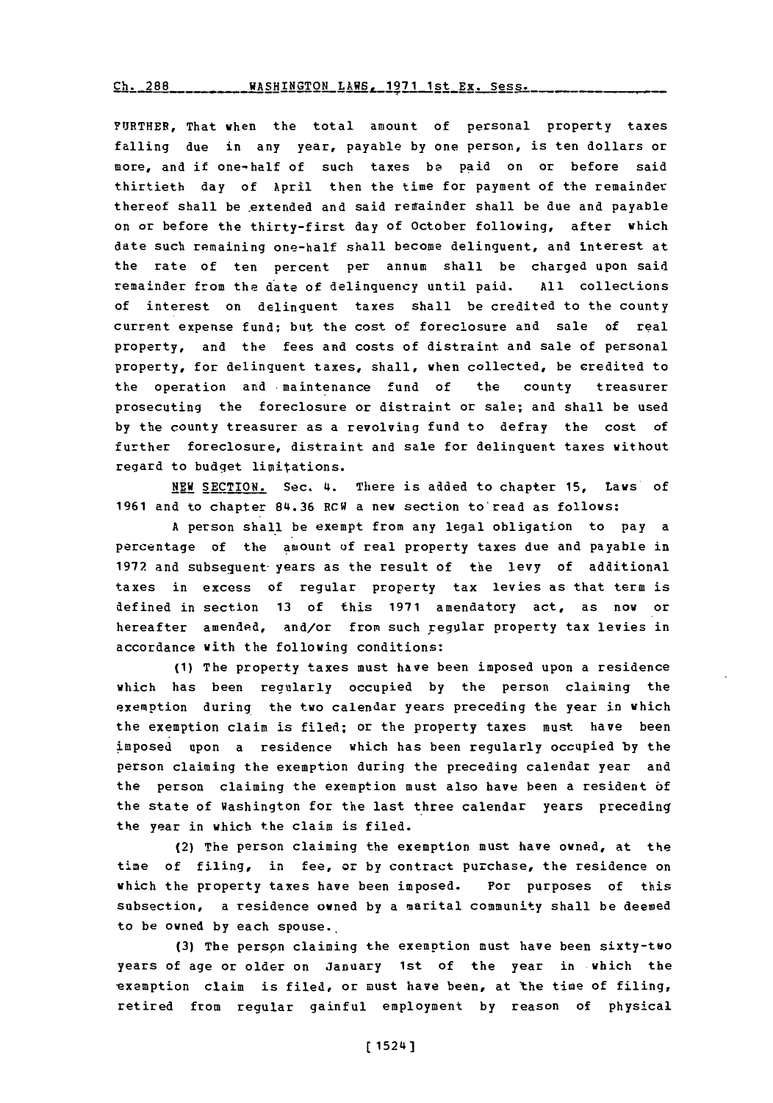## $Ch. 288$  \_\_\_\_\_\_\_\_\_ WASHINGTON LAWS \_ 1971 1st Ex. Sess.

FURTHER, That when the total amount of personal property taxes falling due in any year, payable **by** one person, is ten dollars or more, and if one-half of such taxes **be** paid on or before said thirtieth day of April then the time for payment of the remainder thereof shall be extended and said remainder shall be due and payable on or before the thirty-first day of October following, after which date such remaining one-half shall become delinquent, and interest at the rate of ten percent per annum shall be charged upon said remainder from the date of delinquency until paid. **All** collections of interest on delinquent taxes shall be credited to the county current expense fund; but the cost **of** foreclosure and sale of real property, and the fees and costs of distraint and sale of personal property, for delinquent taxes, shall, when collected, be credited to the operation and maintenance fund of the county treasurer prosecuting the foreclosure or distraint or sale; and shall be used **by** the county treasurer as a revolving fund to defray the cost of further foreclosure, distraint and sale for delinquent taxes without regard to budget limitations.

**NEW** SECTION. Sec. 4. There is added to chapter **15,** Laws of **1961** and to chapter **84.36** RCW a new section to'read as follows:

A person shall be exempt from any legal obligation to pay a percentage of the amount **of** real property taxes due and payable in **1972** and subsequent-years as the result of the levy **of** additionail taxes in excess of regular property tax levies as that term is defined in section **13** of this **1971** amendatory act, as now or hereafter amended, and/or from such regular property tax levies in accordance with the following conditions:

**(1)** The property taxes must have been imposed upon a residence which has been regularly occupied **by** the person claiming the exemption during the two calendar years preceding the year in which the exemption claim is filed; or the property taxes must have been imposed upon a residence which has been regularly occupied **by** the person claiming the exemption during the preceding calendar year and the person claiming the exemption must also have been a resident **of** the state of Washington for the last three calendar years preceding the year in which the claim is filed.

(2) The person claiming the exemption must have owned, at the time of filing, in fee, or **by** contract purchase, the residence on which the property taxes have been imposed. For purposes of this subsection, a residence owned **by** a marital community shall be deemed to be owned **by** each spouse..

**(3)** The perspn claiming the exemption must have been sixty-two years of age or older on January 1st of the year in which the exemption claim is filed, or must have been, at the time of filing, retired from regular gainful employment **by** reason of physical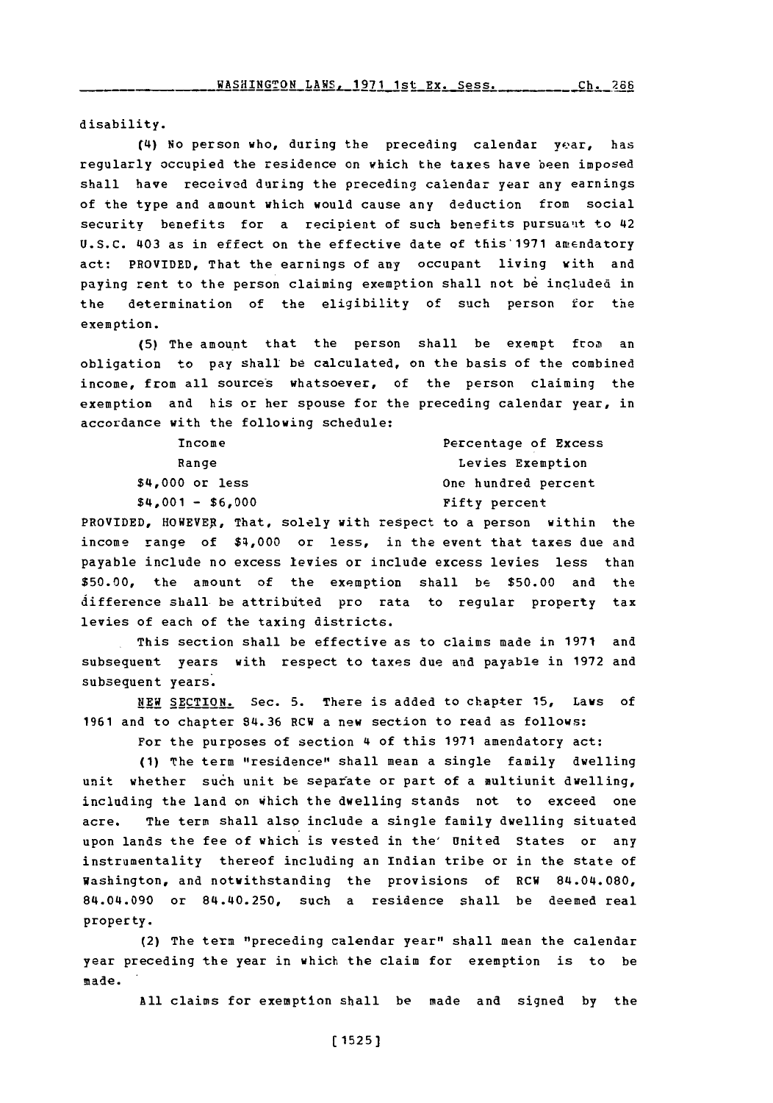disability.

(4) No person who, during the preceding calendar year, has regularly occupied the residence on which the taxes have been imposed shall have received during the preceding calendar year any earnings of the type and amount which would cause any deduction from social security benefits for a recipient of such benefits pursuant to 42 **U.S.C.** 403 as in effect on the effective date of this'1971 amendatory act: PROVIDED, That the earnings of any occupant living with and paying rent to the person claiming exemption shall not be included in the determination of the eligibility of such person for the exemption.

**(5)** The amount that the person shall be exempt from an obligation to pay shall be calculated, on the basis of the combined income, from all sources whatsoever, of the person claiming the exemption and his or her spouse for the preceding calendar year, in accordance with the following schedule:

| Income            | Percentage of Excess |
|-------------------|----------------------|
| Range             | Levies Exemption     |
| $$4,000$ or less  | One hundred percent  |
| $$4,001 - $6,000$ | Fifty percent        |
|                   |                      |

PROVIDED, HOWEVER, That, solely with respect to a person within the income range of \$4,000 or less, in the event that taxes due and payable include no excess levies or include excess levies less than **\$50.00,** the amount of the exemption shall be **\$50.00** and the difference shall be attributed pro rata to regular property tax levies of each of the taxing districts.

This section shall be effective as to claims made in **1971** and subsequent years with respect to taxes due and payable in **1972** and subsequent years.

**NEW SECTION.** Sec. **5.** There is added to chapter **15,** Laws of **1961** and to chapter 84.36 RCW a new section to read as follows:

For the purposes of section 4 of this **1971** amendatory act:

**(1)** The term "residence" shall mean a single family dwelling unit whether such unit be separate or part of a multiunit dwelling, including the land on which the dwelling stands not to exceed one acre. The term shall also include a single family dwelling situated upon lands the fee of which is vested in the' United States or any instrumentality thereof including an Indian tribe or in the state of Washington, and notwithstanding the provisions of RCW 84.04.080, 84.04.090 or 84.40.250, such a residence shall be deemed real property.

(2) The term "preceding calendar year" shall mean the calendar year preceding the year in which the claim for exemption is to be made.

**All** claims for exemption shall be made and signed **by** the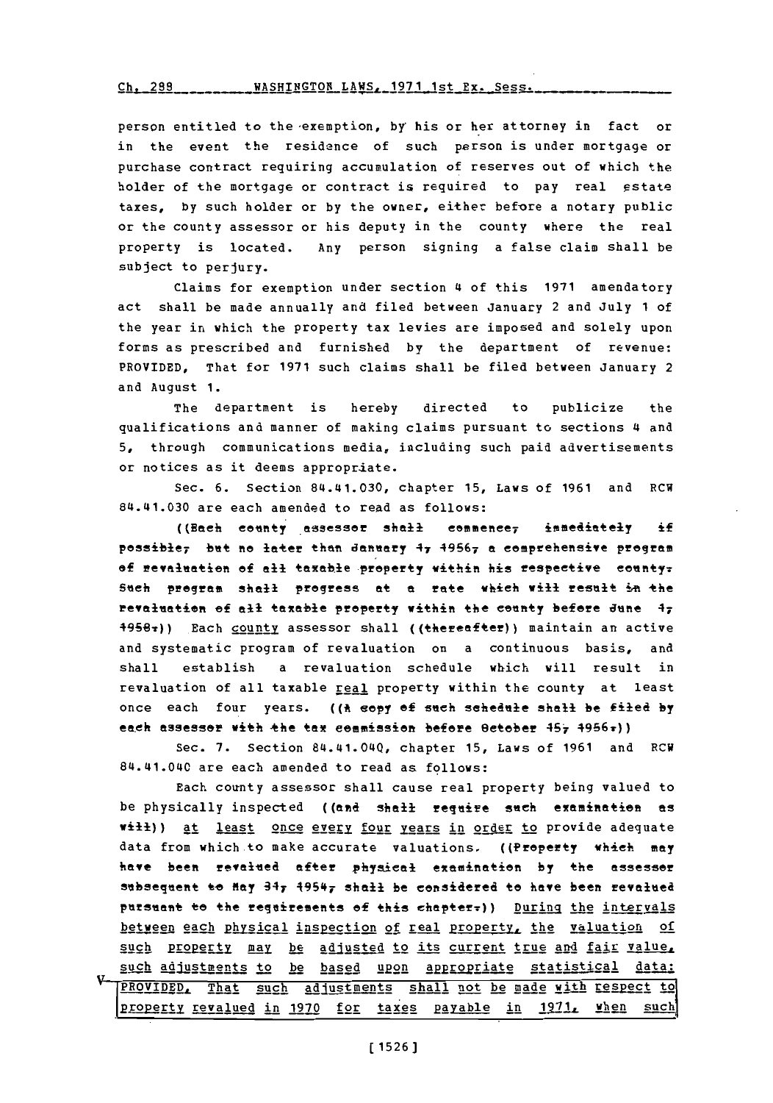**gh.** 289WASHINGTON **LAWS, 1971** 1st Ex. Sess.

person entitled to the-exemption, **by'** his or her attorney in fact or in the event the residence of such person is under mortgage or purchase contract requiring accumulation of reserves out of which the holder of the mortgage or contract is required to pay real estate taxes, by such holder or by the owner, either before a notary public or the county assessor or his deputy in the county where the real property is located. Any person signing a false claim shall be subject to perjury.

Claims for exemption under section **4** of this **1971** amendatory act shall be made annually and filed between January 2 and July **<sup>1</sup>**of the year in which the property tax levies are imposed and solely upon forms as prescribed and furnished **by** the department of revenue: PROVIDED, That for **1971** such claims shall be filed between January 2 and August **1.**

The department is hereby directed to publicize the qualifications and manner of making claims pursuant to sections **4** and **5,** through communications media, including such paid advertisements or notices as it deems appropriate.

Sec. **6.** Section 84.141.030, chapter **15,** Laws of **1961** and RCW 84.41.030 are each amended to read as follows:

((Each county assessor shall commence, immediately if possible<sub>7</sub> but no later than danuary 47 49567 a comprehensive program of revaluation of all taxable property within his respective county: Such program shall progress at a rate which will result in the revaluation of all taxable property within the county before June 47 **4956v))** Each count! assessor shall ((+hereafter)) maintain an active and systematic program of revaluation on a continuous basis, and shall establish a revaluation schedule which will result in revaluation of all taxable real property within the county at least once each four years. **((\*** eepy **of** such schedule shall be filed **by** each assesser with the tax commission before Betober 457 4956r))

Sec. **7.** Section 814.141.0140, chapter **15,** Laws of **1961** and RCW 814.141.0140 are each amended to read as follows:

Each county assessor shall cause real property being valued to be physically inspected ((and shail require such examination as will)) at least once every four years in order to provide adequate data from which to make accurate valuations. ((Property which may **hae. been revalued** after physieal examinatien **by** the assessor subsequent to Hay  $34$ 7  $1954$ 7 shall be considered to have been revalued pursuant to the regniresents **of** this ehapter7)) During the intervals between each physical inspection of real property, the valuation of such property may be adjusted to its current true and fair value. such adjustments to be based upon appropriate statistical data: PROVIDED, That such adjustments shall not be made with respect to property revalued in 1970 for taxes payable in 1971, when such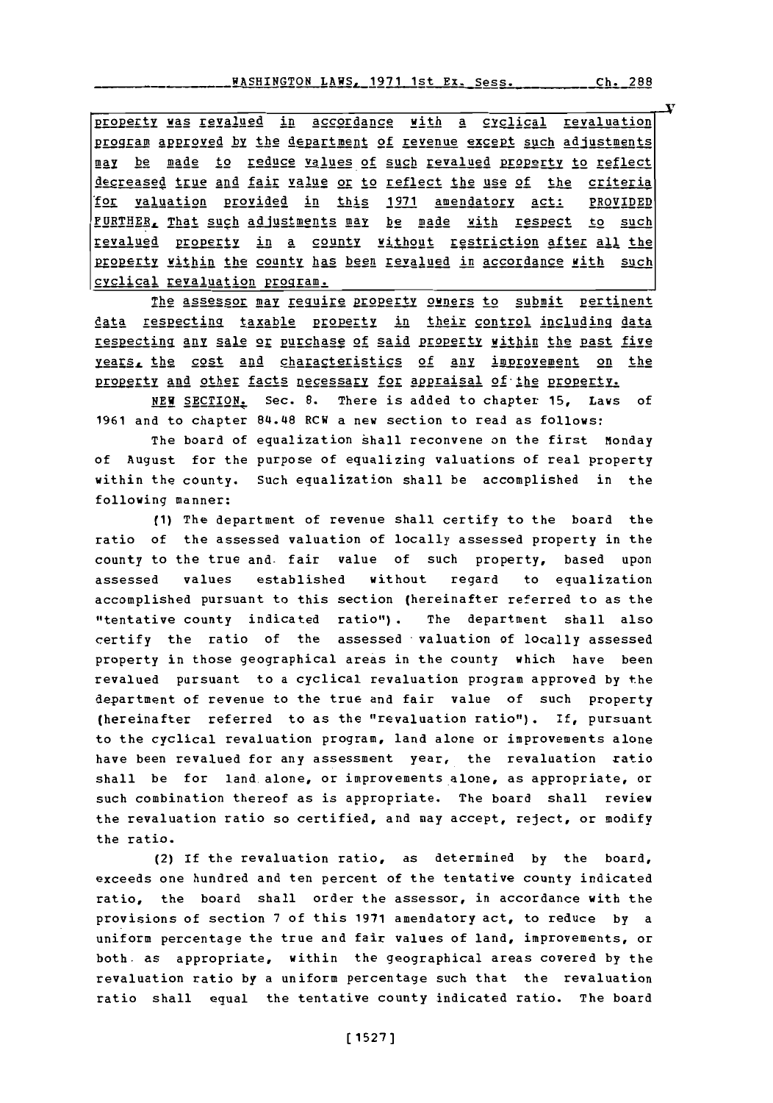property was revalued in accordance with a cyclical revaluation program approved by the department of revenue except such adjustments **Ma be** Made to reduce values of such revalued property to reflect decreased true and fair value or to reflect the use of the criteria 'for valuation Provided in this **1971** amendatorv act: PROVIDED FURTHER, That such adjustments may be made with respect to such revalued property in a county without restriction after all the property within the county has been revalued in accordance with such<br>cyclical revaluation Program.

The assessor may require property owners to submit pertinent data respecting taxable property in their control including data respecting any sale or purchase of said property within the past five years, the cost and characteristics of any improvement on the property and other facts necessary for appraisal of the property.

**NEW** SECTION. Sec. **8.** There is added to chapter **15,** Laws of **1961** and to chapter 84.L48 RCW a new section to read as follows:

The board of equalization shall reconvene on the first Monday **of** August for the purpose of equalizing valuations of real property within the county. Such equalization shall be accomplished in the following manner:

**(1)** The department of revenue shall certify to the board the ratio of the assessed valuation of locally assessed property in the county to the true and. fair value of such property, based upon assessed values established without regard to equalization accomplished pursuant to this section (hereinafter referred to as the "tentative county indicated ratio"). The department shall also certify the ratio of the assessed valuation of locally assessed property in those geographical areas in the county which have been revalued pursuant to a cyclical revaluation program approved **by** the department of revenue to the true and fair value of such property (hereinafter referred to as the "revaluation ratio"). **if,** pursuant to the cyclical revaluation program, land alone or improvements alone have been revalued for any assessment year, the revaluation ratio shall be for land alone, or improvements alone, as appropriate, or such combination thereof as is appropriate. The board shall review the revaluation ratio so certified, and may accept, reject, or modify the ratio.

(2) If the revaluation ratio, as determined **by** the board, exceeds one hundred and ten percent of the tentative county indicated ratio, the board shall order the assessor, in accordance with the provisions of section **7** of this **1971** amendatory act, to reduce **by** a uniform percentage the true and fair values of land, improvements, or both. as appropriate, within the geographical areas covered **by** the revaluation ratio **by** a uniform percentage such that the revaluation ratio shall equal the tentative county indicated ratio. The board

**Ch. 288**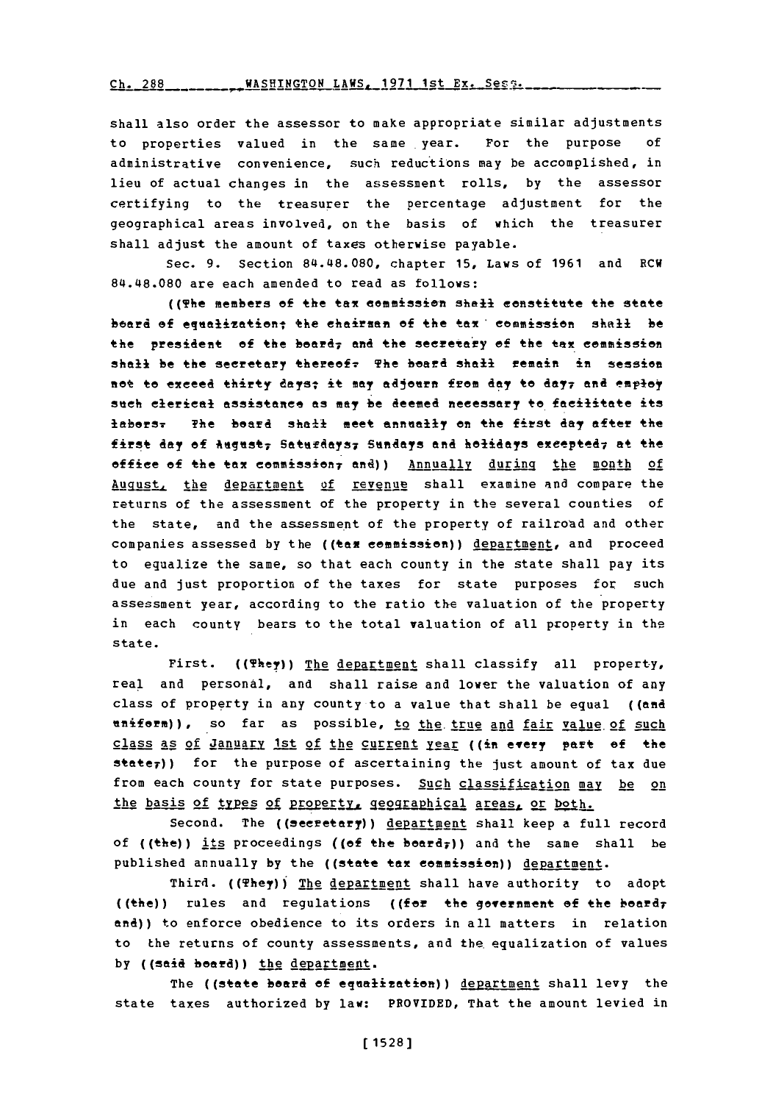Ch. 288 ... \_\_\_\_\_\_\_ WASHINGTON LAWS, 1971 1st Ex. Sess.

shall also order the assessor to make appropriate similar adjustments to properties valued in the same year. For the purpose **of** administrative convenience, such reductions may be accomplished, in lieu of actual changes in the assessment rolls, **by** the assessor certifying to the treasurer the percentage adjustment for the geographical areas involved, on the basis of which the treasurer shall adjust the amount of taxes otherwise payable.

sec. **9.** Section 84.48.080, chapter **15,** Laws of **1961** and RCW 84.48.080 are each amended to read as follows:

((The members of the tax commission shall constitute the state board of equalization; the chairman of the tax, commission shall be the **president** of the board<sub>7</sub> and the secretary of the tax commission shali be the secretary thereof. The board shall remain in session not to exceed thirty, taysi **it may** aijosrn free **day** to day7 and employ sneh clerical assistance as may be deemed necessary to facilitate *its* laborsy The board shall meet annunally en the !First **day** after the first day of *hugust; Saturdays; Sundays* and holidays excepted; at the office of the tax commission, and)) Annually during the month of August, the department of revenue shall examine and compare the returns of the assessment of the property in the several counties of the state, and the assessment of the property of railroad and other companies assessed **by** the **((+am** commission)) department, and proceed to equalize the same, so that each county in the state shall pay its due and just proportion of the taxes for state purposes for such assessment year, according to the ratio the valuation of the property in each county bears to the total valuation of all property in the state.

First. ((They)) The department shall classify all property, real and personal, and shall raise and lower the valuation of any class of property in any county to a value that shall be equal **((and** uniform)), so far as possible, to the true and fair value of such class as **of** IABAnujY 1st of the curent **yreAr** ((in every part **of** the  $\texttt{state}$ )) for the purpose of ascertaining the just amount of tax due from each county for state purposes. Such classification may **be** on the basis of types of property, geographical areas, or both.

Second. The ((secretary)) department shall keep a full record of ((the)) its proceedings ((of the board<sub>r</sub>)) and the same shall be published annually **by** the ((state tax eeamission)) department.

Third. ((They)) The department shall have authority to adopt ((the)) rules and regulations ((far the government **Of** the bedrd7 and)) to enforce obedience to its orders in all matters in relation to the returns of county assessments, and the equalization of values by ((said beard)) the department.

The ((state board of equalization)) department shall levy the state taxes authorized by law: PROVIDED, That the amount levied in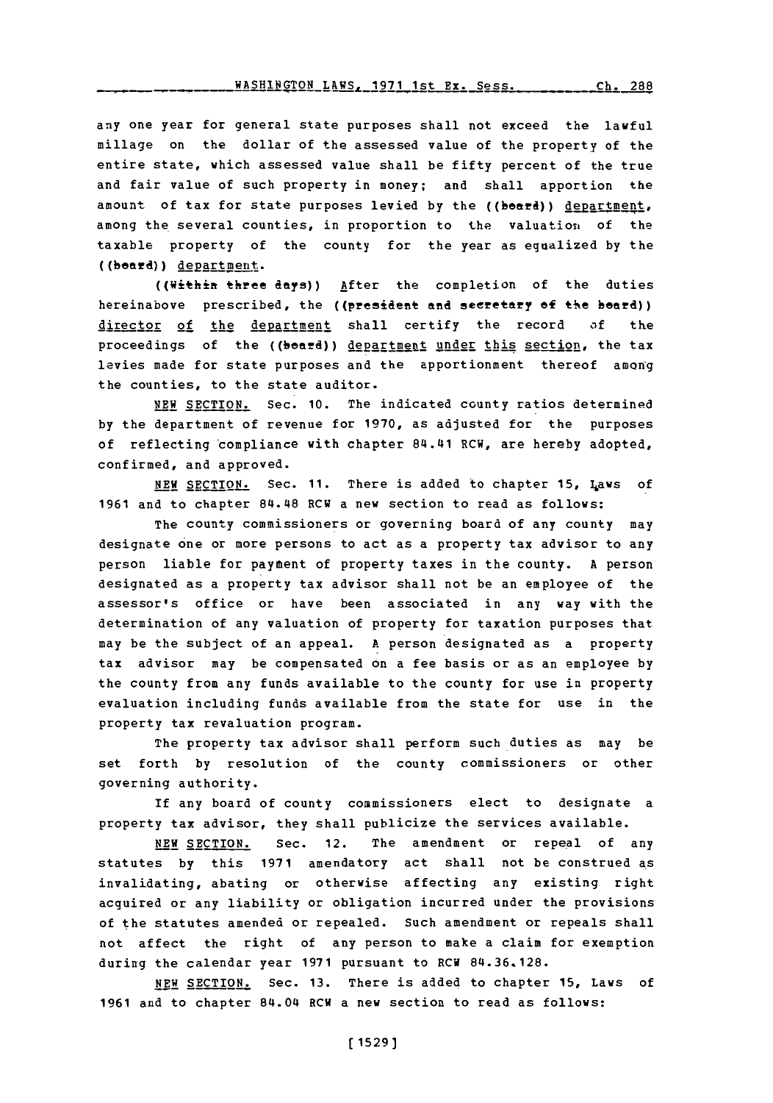#### **WASHINGTON LAWS, 1971 1st Ex. Sess. 66.288**

any one year for general state purposes shall not exceed the lawful millage on the dollar of the assessed value of the property of the entire state, which assessed value shall be fifty percent of the true and fair value of such property in money; and shall apportion the amount of tax for state purposes levied by the ((beard)) department, among the several counties, in proportion to the valuation of the taxable property of the county for the year as equalized **by** the ((beard)) <u>department</u>.

((Withift three **day's))** After the completion of the duties hereinabove prescribed, the ((president and secretary of the beard)) director of the department shall certify the record of the proceedings of the ((board)) department under this section, the tax levies made for state purposes and the apportionment thereof amonig the counties, to the state auditor.

**NEW** SECTION. Sec. **10.** The indicated county ratios determined **by** the department of revenue for **1970,** as adjusted for the purposes of reflecting 'compliance with chapter 84.41 RCW, are hereby adopted, confirmed, and approved.

**NEW SECTION.** Sec. **11.** There is added to chapter **15,** I4aws of **1961** and to chapter 84~.48 RCW a new section to read as follows:

The county commissioners or governing board of any county may designate one or more persons to act as a property tax advisor to any person liable for payment of property taxes in the county. **A** person designated as a property tax advisor shall not be an employee of the assessor's office or have been associated in any way with the determination of any valuation of property for taxation purposes that may be the subject of an appeal. **A** person designated as a property tax advisor may be compensated on a fee basis or as an employee **by** the county from any funds available to the county for use in property evaluation including funds available from the state for use in the property tax revaluation program.

The property tax advisor shall perform such duties as may be set forth **by** resolution of the county commissioners or other governing authority.

If any board of county commissioners elect to designate a property tax advisor, they shall publicize the services available.

**NEW** SECTION. Sec. 12. The amendment or repeal of any statutes **by** this **1971** amendatory act shall not be construed as invalidating, abating or otherwise affecting any existing right acquired or any liability or obligation incurred under the provisions of the statutes amended or repealed. Such amendment or repeals shall not affect the right of any person to make a claim for exemption during the calendar year **1971** pursuant to RCW **84.36.128.**

**NEW SECTION.** Sec. **13.** There is added to chapter **15,** Laws of **1961** and to chapter 84.04 RCW a new section to read as follows: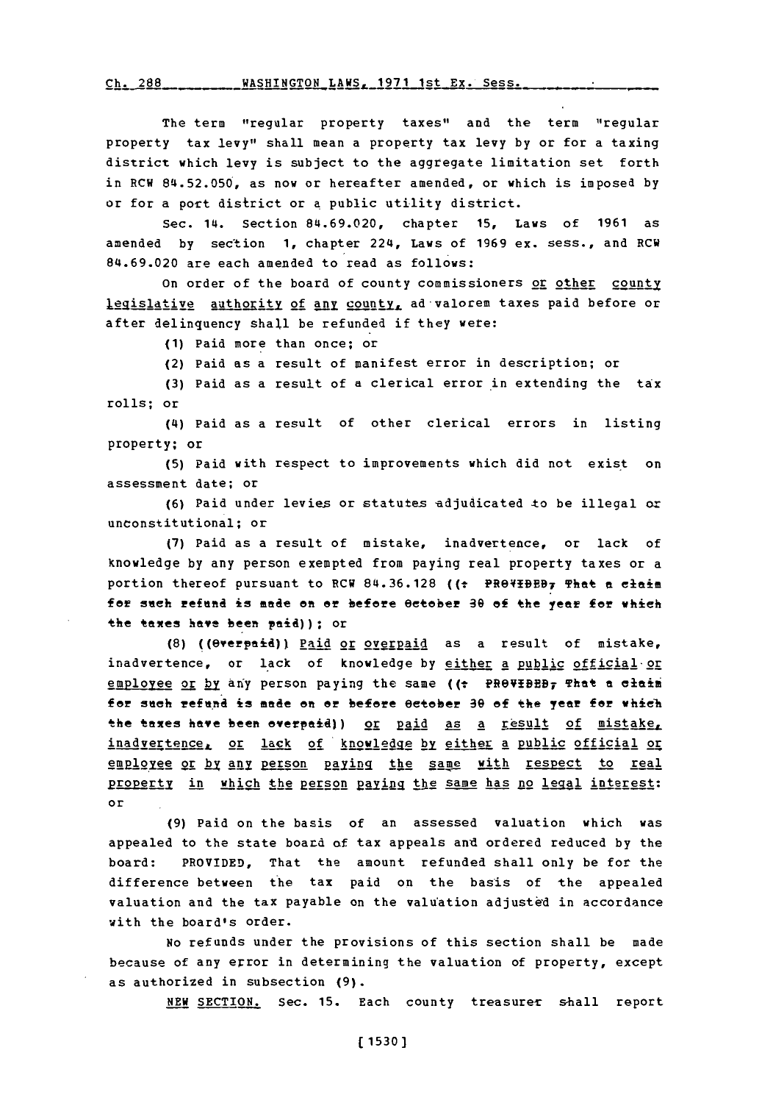Ch. 288 WASHINGTON LAWS, 1971 1st Ex. Sess.

The term "regular property taxes" and the term "regular property tax levy" shall mean a property tax levy **by** or for a taxing district which levy is subject to the aggregate limitation set forth in RCW **84.52.050,** as now or hereafter amended, or which is imposed **by** or for a port district or **a** public utility district.

Sec. 14. Section 84.69.020, chapter **15,** Laws of **1961** as amended **by** section **1,** chapter 224, Laws of **1969** ex. sess., and RCW **84.69.020** are each amended to read as follows:

On order of the board of county commissioners or other county legislative authority of any county, ad valorem taxes paid before or after delinquency shall be refunded if they were:

**(1)** Paid more than once; or

(2) Paid as a result of manifest error in description; or

**(3)** Paid as a result of a clerical error in extending the tax rolls; or

(4) Paid as a result of other clerical errors in listing property; or

**(5)** Paid with respect to improvements which did not exist on assessment date; or

(6) Paid under levies or statutes adjudicated to be illegal or unconstitutional; or

**(7)** Paid as a result of mistake, inadvertence, or lack of knowledge **by** any person exempted from paying real property taxes or a portion thereof pursuant to RCW **84.36.128 ((t** FROVIDE97 That **a** elaim f **or** sneh rfeaftd **is** mnade **on or** before eeteber a6 **of** the year **f** whieh the taxes have been paid)); or

**(8)** ((@erepaid)) Paid or overaid as a result of mistake, inadvertence, or lack of knowledge by either a public official or employee or by any person paying the same ((: PROVIBEB<sub>7</sub> That a claim for such refund is made on or before 0ctober 30 of the year for which the taxes have been overpaid)) or paid as a result of mistake, inadvertence, or lack of knowledge by either a public official or employee or by any person paying the same with respect to real property in which the person paying the same has no legal interest: or

**(9)** Paid on the basis of an assessed valuation which was appealed to the state board of tax appeals and ordered reduced **by** the board: PROVIDED, That the amount refunded shall only be for the difference between the tax paid on the basis of the appealed valuation and the tax payable on the valu'ation adjusted in accordance with the board's order.

No refunds under the provisions of this section shall be made because of any error in determining the valuation of property, except as authorized in subsection **(9).**

NEW SECTION. Sec. 15. Each county treasurer shall report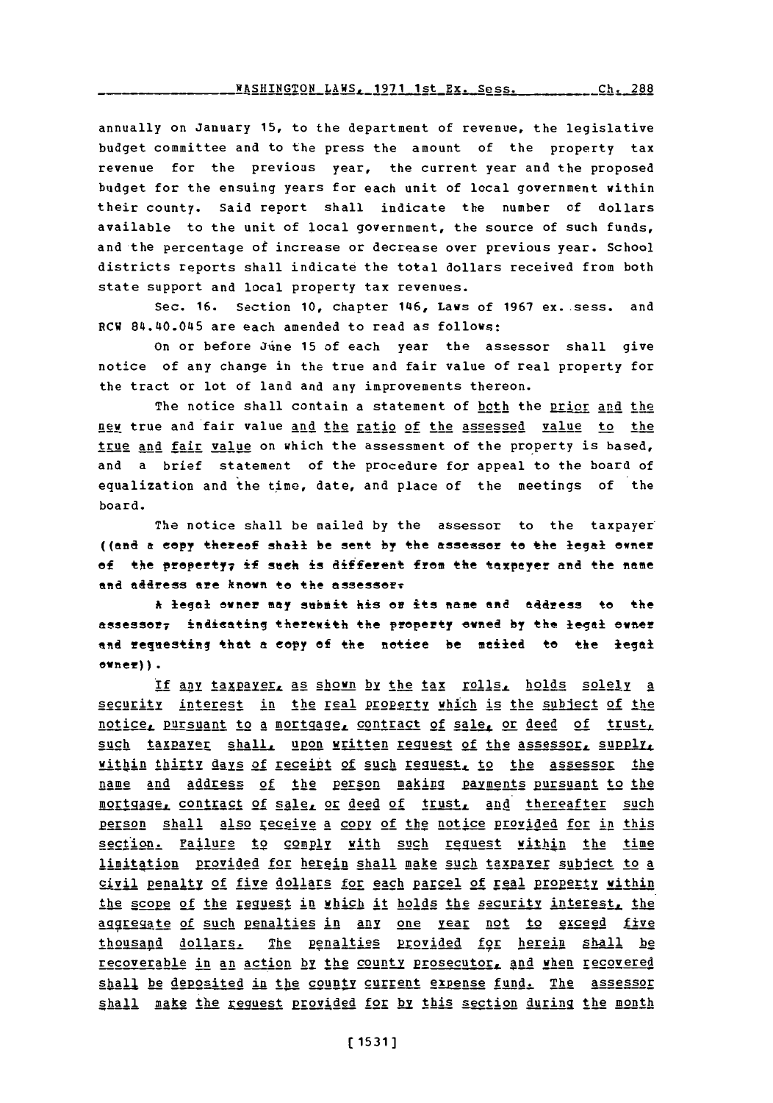annually on January **15,** to the department of revenue, the legislative budget committee and to the press the amount of the property tax revenue for the previous year, the current year and the proposed budget for the ensuing years for each unit of local government within their county. Said report shall indicate the number of dollars available to the unit of local government, the source of such funds, and the percentage of increase or decrease over previous year. school districts reports shall indicate the total dollars received from both state support and local property tax revenues.

Sec. 16. Section 10, chapter 146, Laws of 1967 ex. sess. and RCW 84.40.045 are each amended to read as follows:

On or before June **15** of each year the assessor shall give notice of any change in the true and fair value of real property for the tract or lot of land and any inprovements thereon.

The notice shall contain a statement of both the prior and the new true and fair value and the ratio of the assessed value to the true and fair value on which the assessment of the property is based, and a brief statement of the procedure for appeal to the board of equalization and the time, date, and place of the meetings of the board.

The notice shall be mailed **by** the assessor to the taxpayer ((and a copy thereof shall be sent by the assessor to the legal owner of the property<sub>7</sub> if such is different from the taxpayer and the name and address are known to the assessore

**ht** legal owner may submit his **or its name** and address to the assessor<sub>7</sub> indicating therewith the property ewned by the legal owner and requesting that a copy of the notice be mailed to the legal  $open)$ ).

If any taxpayer, as shown by the tax rolls, holds solely a security interest in the real property which is the subject of the notice, pursuant to a mortgage, contract of sale, or deed of trust, such taxpayer shall, upon written request of the assessor, supply, within thirty days of receipt of such request, to the assessor the name and address of the person making payments pursuant to the mortgage, contract of sale, or deed of trust, and thereafter such person shall also receive a copy of the notice provided for in this section. Failure to comply with such request within the time limitation provided for herein shall make such taxpaver subject to a civil penalty of five dollars for each parcel of real property within the scope of the reguest in which it holds the security interest, the aggregate of such penalties in any one year not to exceed five thousand dollars. The penalties provided for herein shall be recoverable in an action by the county prosecutor, and when recovered shall be deposited in the county current expense fund. The assessor shall make the request provided for by this section during the month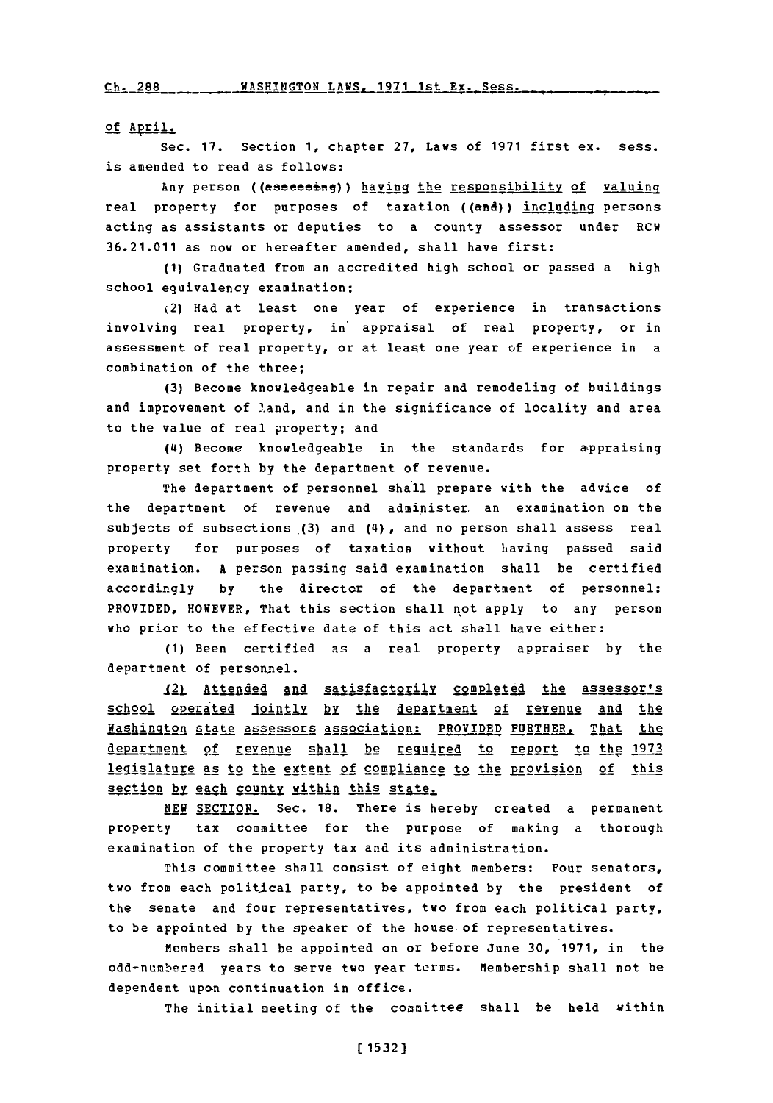Ch- 2RR **WASHTUCTON** LAWS- **1971** 1st **Ex.** Sass.

of April.

sec. **17.** section **1,** chapter **27,** Laws of **1971** first ex. sess. is amended to read as follows:

Any person ((assessing)) haying the responsibility of valuing real property for purposes of taxation ((and)) including persons acting as assistants or deputies to a county assessor under RCW **36.21.011** as now or hereafter amended, shall have first:

**(1)** Graduated from an accredited high school or passed a high school equivalency examination;

2) Had at least one year of experience in transactions involving real property, in' appraisal of real property, or in assessment of real property, or at least one year of experience in a combination of the three;

**(3)** Become knowledgeable in repair and remodeling of buildings and improvement of land, and in the significance of locality and area to the value of real property; and

(4) Become knowledgeable in the standards for appraising property set forth **by** the department of revenue.

The department of personnel shall prepare with the advice of the department of revenue and administer an examination on the subjects of subsections  $(3)$  and  $(4)$ , and no person shall assess real property for purposes of taxation without having passed said examination. **A** person passing said examination shall be certified accordingly **by** the director of the department of personnel: PROVIDED, HOWEVER, That this section shall not apply to any person who prior to the effective date of this act shall have either:

**(1)** Been certified as a real property appraiser **by** the department of personnel.

121 Attended and satisfactorily completed the assessor's school operated jointly by the department of revenue and the **Washington state assessors association: PROVIDED FURTHER, That the** department of revenue shall be required to report to the 1973 legislature as to the extent of compliance to the provision of this section by each county within this state.

**NEW SECTION.** Sec. **18.** There is hereby created a Permanent property tax committee for the purpose of making a thorough examination of the property tax and its administration.

This committee shall consist of eight members: Four senators, two from each political party, to be appointed **by** the president of the senate and four representatives, two from each political party, to be appointed **by** the speaker of the house- of representatives.

Members shall be appointed on or before June **30, 1971,** in the odd-numbered years to serve two year terms. Membership shall not be dependent upon continuation in office.

The initial meeting of the committee shall be held within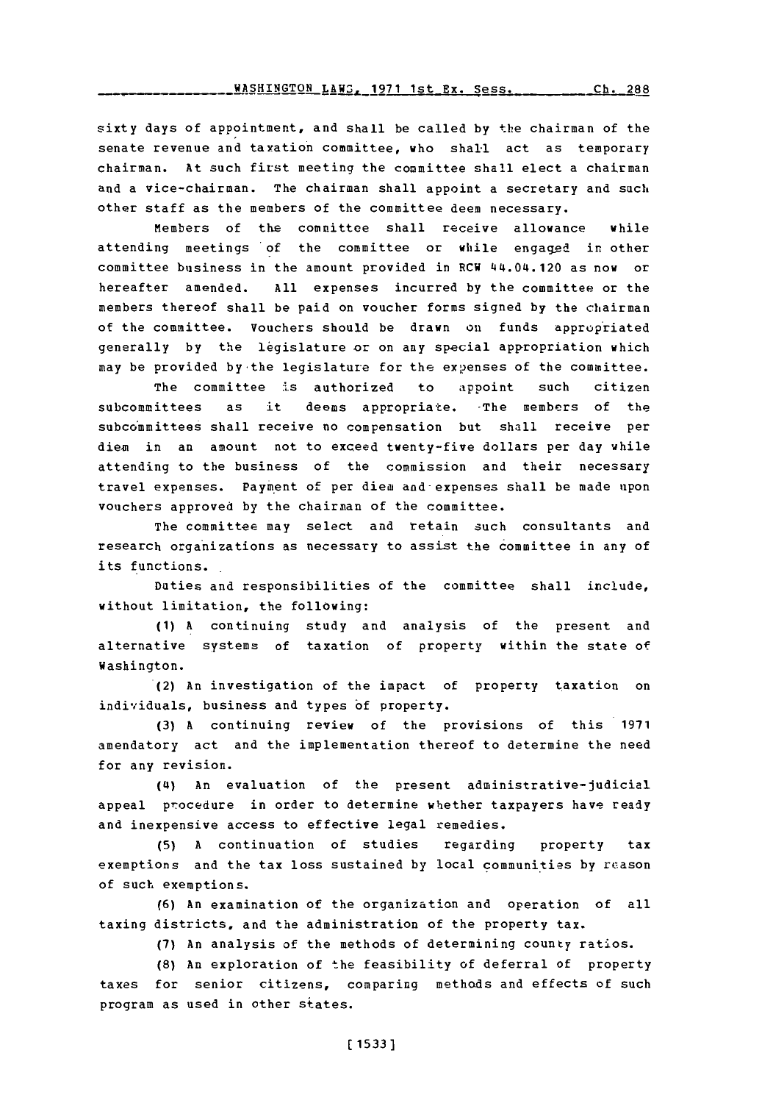sixty days of appointment, and shall be called **by** the chairman of the senate revenue and taxation committee, who shall act as temporary chairman. At such first meeting the committee shall elect a chairman and a vice-chairman. The chairman shall appoint a secretary and such other staff as the members of the committee deem necessary.

members of the committee shall receive allowance while attending meetings of the committee or while engaged in other committee business in the amount provided in RCW 44.04.120 as now or hereafter amended. **All** expenses incurred **by** the committee or the members thereof shall be paid on voucher forms signed **by** the chairman of the committee. Vouchers should be drawn on funds appropriated generally **by** the legislature or on any special appropriation which may be provided by the legislature for the expenses of the committee.

The committee is authorized to appoint such citizen subcommittees as it deems appropriate. The members of the subcommittees shall receive no compensation but shall receive per diem in an amount not to exceed twenty-five dollars per day while attending to the business of the commission and their necessary travel expenses. payment of per diem and-expenses shall be made upon vouchers approved **by** the chairman of the committee.

The committee may select and retain such consultants and research organizations as necessaty to assist the committee in any of its functions.

Duties and responsibilities of the committee shall include, without limitation, the following:

**(1) A** continuing study and analysis of the present and alternative systems of taxation of property within the state of Washington.

(2) An investigation of the impact of property taxation on individuals, business and types **of** property.

**(3) A** continuing review of the provisions of this **1971** amendatory act and the implementation thereof to determine the need for any revision.

**(4)** An evaluation of the present administrative-judicial appeal procedure in order to determine whether taxpayers have ready and inexpensive access to effective legal remedies.

**(5) A** continuation of studies regarding property tax exemptions and the tax loss sustained **by** local communities **by** reason of such exemptions.

**(6)** An examination **of** the organization and operation of all taxing districts, and the administration of the property tax.

**(7)** An analysis of the methods of determining county ratios.

**(8)** An exploration of the feasibility of deferral of property taxes for senior citizens, comparing methods and effects of such program as used in other states.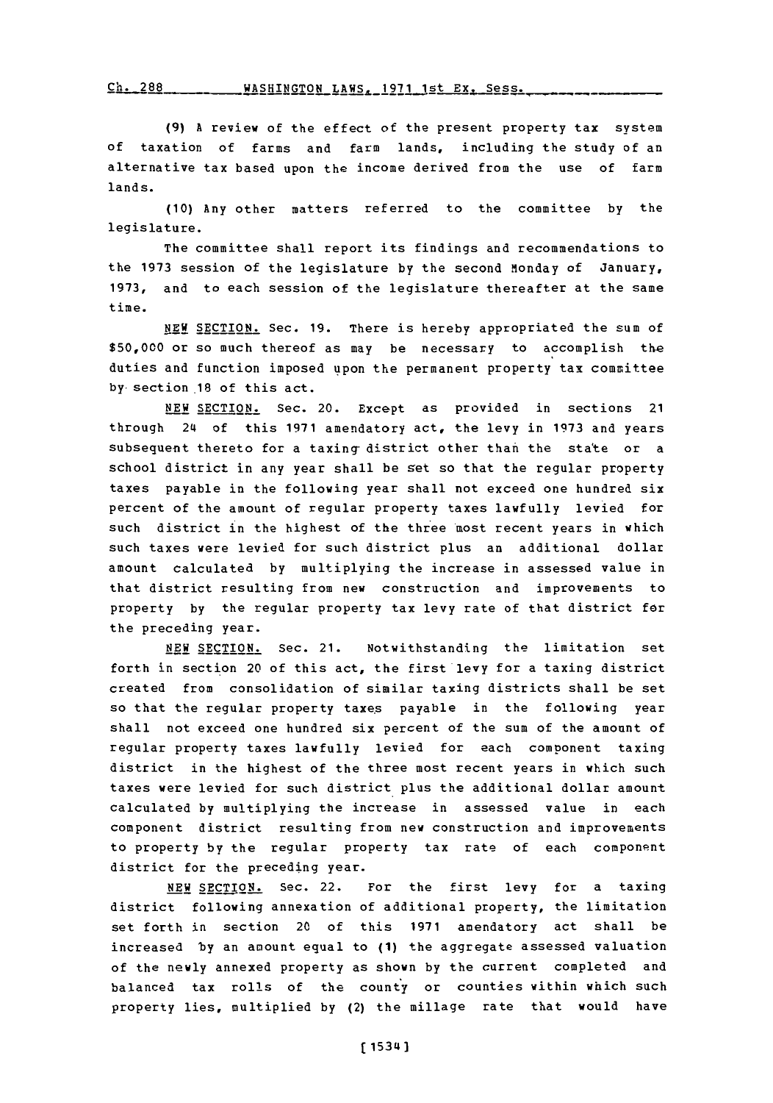**(9) A** review of the effect of the present property tax system **of** taxation of farms and farm lands, including the study of an alternative tax based upon the income derived from the use of farm lands.

**(10)** Any other matters referred to the committee **by** the legislature.

The committee shall report its findings and recommendations to the **1973** session of the legislature **by** the second Monday of January, **1973,** and to each session of the legislature thereafter at the same time.

**NEW** SECTION. Sec. **19.** There is hereby appropriated the sum of **\$50,000** or so much thereof as may be necessary to accomplish the duties and function imposed upon the permanent property tax committee by-section .18 of this act.

**NEW** SECTION. Sec. 20. Except as provided in sections 21 through 241 of this **1971** amendatory act, the levy in **1973** and years subsequent thereto for a taxing district other than the state or a school district in any year shall be set so that the regular property taxes payable in the following year shall not exceed one hundred six percent of the amount of regular property taxes lawfully levied for such district in the highest of the three most recent years in which such taxes were levied for such district plus an additional dollar amount calculated **by** multiplying the increase in assessed value in that district resulting from new construction and improvements to property **by** the regular property tax levy rate of that district for the preceding year.

**NEW** SECTION. Sec. 21. Notwithstanding the limitation set forth in section 20 of this act, the first levy for a taxing district created from consolidation of similar taxing districts shall be set so that the regular property taxes payable in the following year shall not exceed one hundred six percent of the sum of the amount of regular property taxes lawfully levied for each component taxing district in the highest of the three most recent years in which such taxes were levied for such district plus the additional dollar amount calculated **by** multiplying the increase in assessed value in each component district resulting from new construction and improvements to property **by** the regular property tax rate of each component district for the preceding year.

**NEW** SECTION. Sec. 22. For the first levy for a taxing district following annexation of additional property, the limitation set forth in section 20 of this **1971** amendatory act shall be increased **by** an amount equal to **(1)** the aggregate assessed valuation of the newly annexed property as shown **by** the current completed and balanced tax rolls of the county or counties within which such property lies, multiplied **by** (2) the millage rate that would have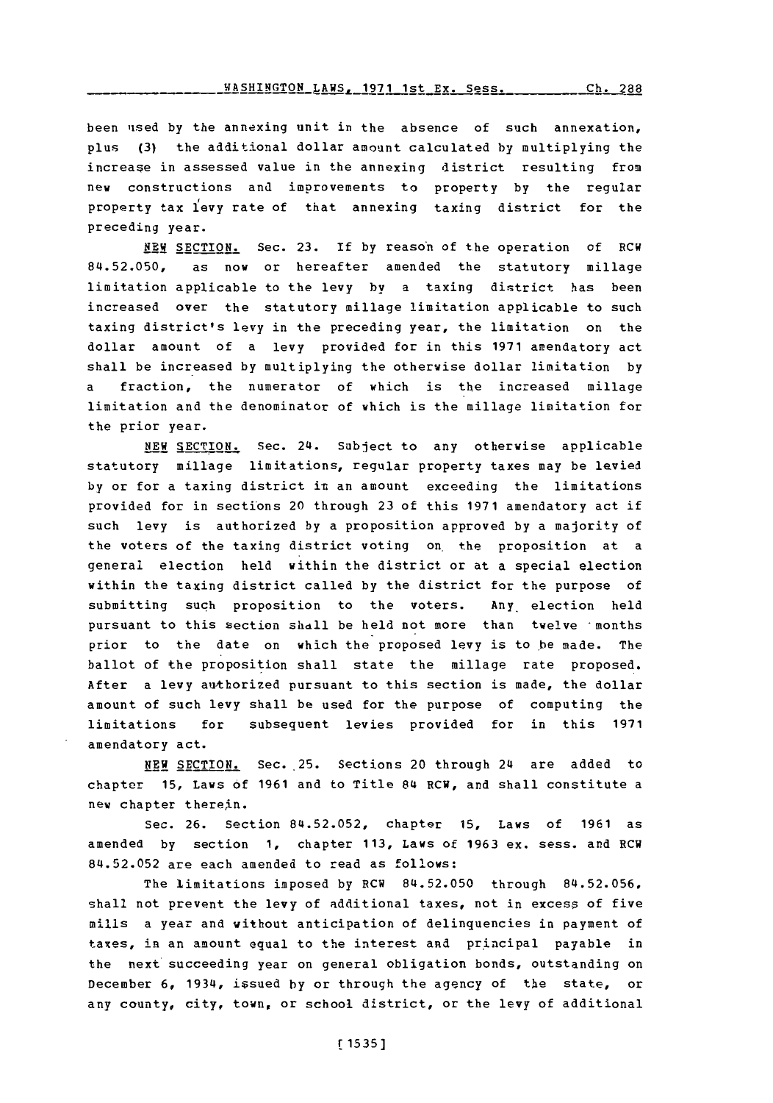been uised **by** the annexing unit in the absence of such annexation, plus **(3)** the additional dollar amount calculated **by** multiplying the increase in assessed value in the annexing district resulting from new constructions and improvements to property **by** the regular property tax 1fevy rate of that annexing taxing district for the preceding year.

**NEW SECTION.** Sec. **23. if by** reason of the operation of RCW **84.52.050,** as now or hereafter amended the statutory millage limitation applicable to the levy by a taxing district has been increased over the statutory millage limitation applicable to such taxing district's levy in the preceding year, the limitation on the dollar amount of a levy provided for in this **1971** amendatory act shall be incr eased **by** multiplying the otherwise dollar limitation **by** fraction, the numerator of which is the increased millage limitation and the denominator of which is the millage limitation for the prior year.

**NEW SECTION.** Sec. 24. Subject to any otherwise applicable statutory millage limitations, regular property taxes may be levied by or for a taxing district in an amount exceeding the limitations provided for in sections 20 through **23** of this **1971** amendatory act if such levy is authorized **by** a proposition approved **by** a majority of the voters of the taxing district voting on. the proposition at a general election held within the district or at a special election within the taxing district called **by** the district for the purpose of submitting such proposition to the voters. Any, election held pursuant to this section shdll be held not more than twelve ' months prior to the date on which the proposed levy is to be made. The ballot of the proposition shall state the millage rate proposed. After a levy authorized pursuant to this section is made, the dollar amount of such levy shall be used for the purpose of computing the limitations for subsequent levies provided for in this **<sup>1971</sup>** amendatory act.

**NEW** SECTION. Sec. 25. Sections 20 through 214 are added to chapter **15,** Laws **of 1961** and to Title 814 RCW, and shall constitute a new chapter therein.

Sec. **26.** Section **84.52.052,** chapter **15,** Laws of **1961** as amended **by** section **1,** chapter **113,** Laws of **1963** ex. sess. and RCW **84.52.052** are each amended to read as follows:

The limitations imposed **by** RCW **84.52.050** through **84.52.056,** shall not prevent the levy of additional taxes, not in excess of five mills a year and without anticipation of delinquencies in payment of taxes, in an amount equal to the interest and principal payable in the next succeeding year on general obligation bonds, outstanding on December **6,** 19314, issued **by** or through the agency of the state, or any county, city, town, or school district, or the levy of additional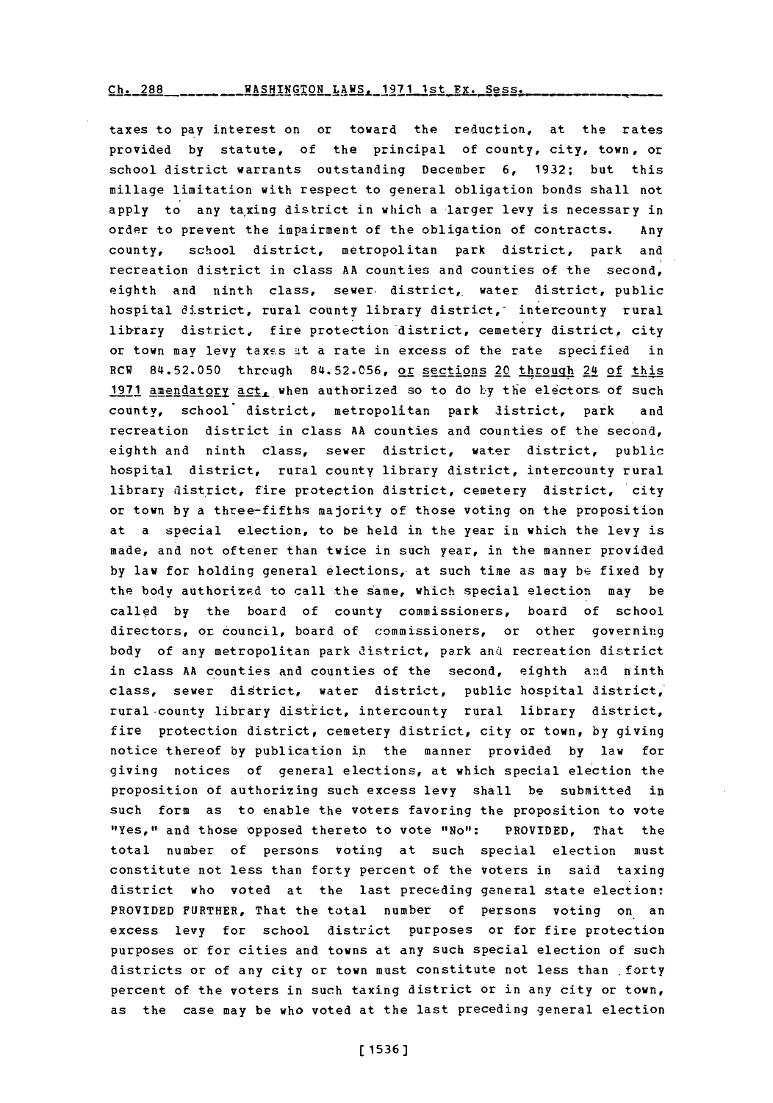taxes to pay interest on or toward the reduction, at the rates provided **by** statute, of the principal of county, city, town, or school district warrants outstanding December **6, 1932;** but this millage limitation with respect to general obligation bonds shall not apply to any taxing district in which a larger levy is necessary in order to prevent the impairment of the obligation of contracts. Any county, school district, metropolitan park district, park and recreation district in class **AA** counties and counties of the second, eighth and ninth class, sewer district, water district, public hospital district, rural county library district, intercounty rural library district, fire protection district, cemetery district, city or town may levy taxes at a rate in excess of the rate specified in RCW 84.52.050 through 84.52.056, or sections 20 through 24 of this 1971 amendatory act, when authorized so to do by the electors of such county, school district, metropolitan park district, park and recreation district in class AA counties and counties of the second. eighth and ninth class, sewer district, water district, public hospital district, rural county library district, intercounty rural library district, fire protection district, cemetery district, city or town **by** a three-fifths majority of those voting on the proposition at a special election, to be held in the year in which the levy is made, and not oftener than twice in such year, in the manner provided **by** law for holding general elections,- at such time as may be fixed **by** the body authorized to call the same, which special election may be called **by** the board of county commissioners, board of school directors, or council, board of commissioners, or other governing body of any metropolitan park district, park and recreation district in class AA counties and counties of the second, eighth and ninth class, sewer district, water district, public hospital district, rural county library district, intercounty rural library district, fire protection district, cemetery district, city or town, **by** giving notice thereof **by** publication in the manner provided **by** law for giving notices of general elections, at which special election the proposition of authorizing such excess levy shall be submitted in such form as to enable the voters favoring the proposition to vote "Yes," and those opposed thereto to vote "No": PROVIDED, That the total number of persons voting at such special election must constitute not less than forty percent of the voters in said taxing district who voted at the last preceding general state election: PROVIDED FURTHER, That the total number of persons voting on an excess levy for school district purposes or for fire protection purposes or for cities and towns at any such special election of such districts or of any city or town must constitute not less than forty percent of the voters in such taxing district or in any city or town, as the case may be who voted at the last preceding general election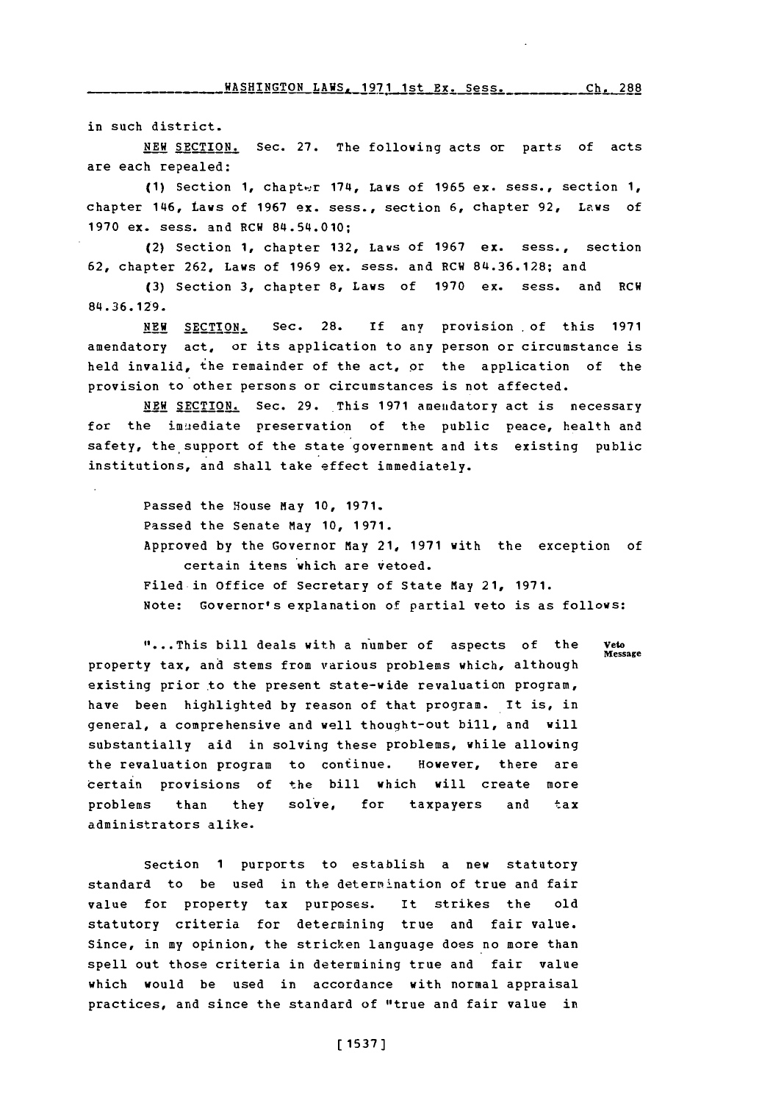in such district.

**NEW** SECTION. Sec. **27.** The following acts or parts of acts are each repealed:

**(1)** Section **1,** chaptt-r 1714, Laws of **1965** ex. sess., section **1,** chapter 1146, Laws of **1967 ex.** sess., section **6,** chapter **92,** Laws of **1970** ex. sess. and RCH 84.54.010;

(2) Section **1,** chapter **132,** Laws of **1967** ex. sess., section **62,** chapter **262,** Laws of **1969** ex. sess. and RCW **814.36.128;** and

**(3)** Section **3,** chapter **8,** Laws of **1970** ex. sess. and RCW 84.36. 129.

**NEW** SECTION. Sec. 28. **if** any provision of this **1971** amendatory act, or its application to any person or circumstance is held invalid, the remainder of the act, or the application of the provision to other persons or circumstances is not affected.

**NEW** SECTION. Sec. 29. This **1971** amenidatory act is necessary for the immediate preservation of the public peace, health and safety, the support of the state government and its existing public institutions, and shall take effect immediately.

> Passed the House may **10, 1971.** Passed the Senate May **10, 1971.** Approved **by** the Governor May 21, **1971** with the exception of certain items which are vetoed. Filed in office of Secretary of State May 21, **1971.** Note: Governor's explanation of partial veto is as follows:

"...This bill deals with a number of aspects of the **Message** property tax, and stems from various problems which, although existing prior to the present state-wide revaluation program, have been highlighted **by** reason of that program. It is, in general, a comprehensive and well thought-out bill, and will substantially aid in solving these problems, while allowing the revaluation program to continue. However, there are certain provisions of the bill which will create more problems than they solve, for taxpayers and tax administrators alike.

Section **1** purports to establish a new statutory standard to be used in the determ'ination of true and fair value for property tax purposes. It strikes the old statutory criteria for determining true and fair value. since, in my opinion, the stricken language does no more than spell out those criteria in determining true and fair value which would be used in accordance with normal appraisal practices, and since the standard of "true and fair value in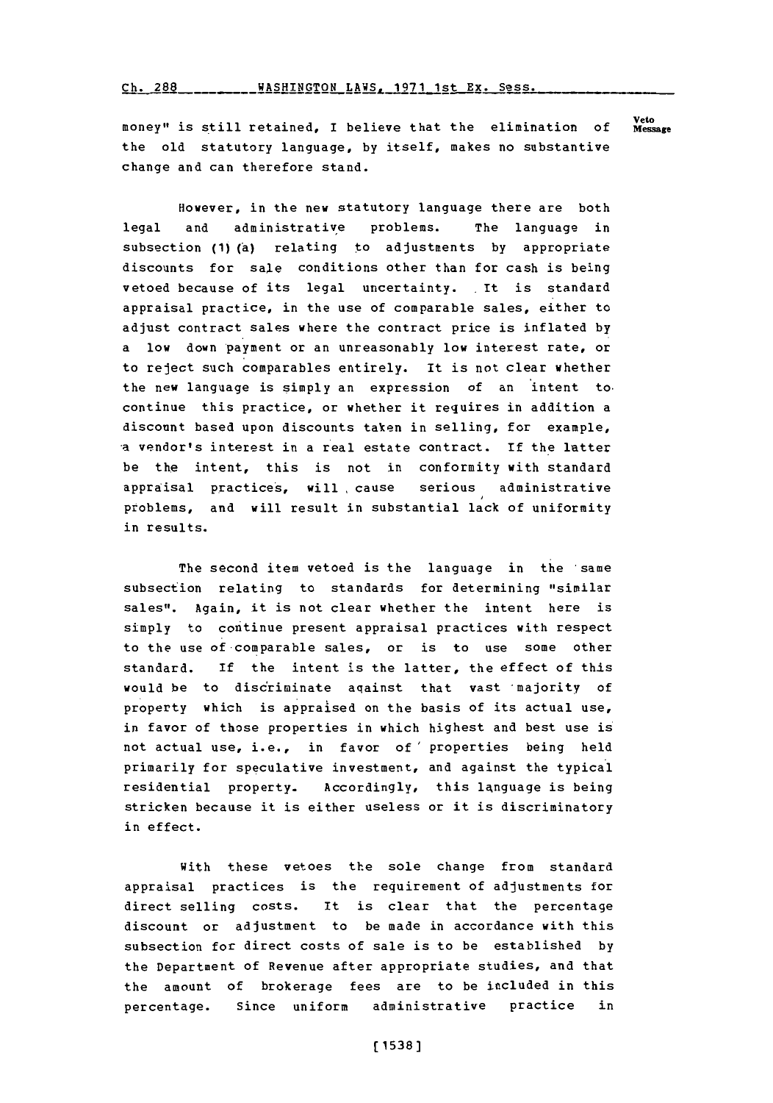### Ch. 288 \_\_\_\_\_\_\_\_WASHINGTON LAWS, 1971 1st Ex. Sess.

**Veto** money" is still retained, I believe that the elimination of the old statutory language, **by** itself, makes no substantive change and can therefore stand.

However, in the new statutory language there are both legal and administrative problems. The language in subsection (1) (a) relating to adjustments **by** appropriate discounts for sale conditions other than for cash is being vetoed because of its legal uncertainty. It is standard appraisal practice, in the use of comparable sales, either to adjust contract sales where the contract price is inflated **by** a low down payment or an unreasonably low interest rate, or to reject such comparables entirely. It is not clear whether the new language is simply an expression of an intent to, continue this practice, or whether it requires in addition a discount based upon discounts taken in selling, for example, -a vendor's interest in a real estate contract. If the latter be the intent, this is not in conformity with standard appraisal practices, will, cause serious administrative problems, and will result in substantial lack of uniformity in results.

The second item vetoed is the language in the same subsection relating to standards for determining "similar sales". Again, it is not clear whether the intent here is simply to continue present appraisal practices with respect to the use of-comparable sales, or is to use some other standard. **If** the intent is the latter, the effect of this would be to disciriminate aqainst that vast 'majority of property which is appraised on the basis of its actual use, in favor of those properties in which highest and best use is not actual use, i.e., in favor of' properties being held primarily for speculative investment, and against the typical residential property. Accordingly, this language is being stricken because it is either useless or it is discriminatory in effect.

With these vetoes the sole change from standard appraisal practices is the requirement of adjustments for direct selling costs. It is clear that the percentage discount or adjustment to be made in accordance with this subsection for direct costs of sale is to be established **by** the Department of Revenue after appropriate studies, and that the amount of brokerage fees are to be included in this percentage. Since uniform administrative practice in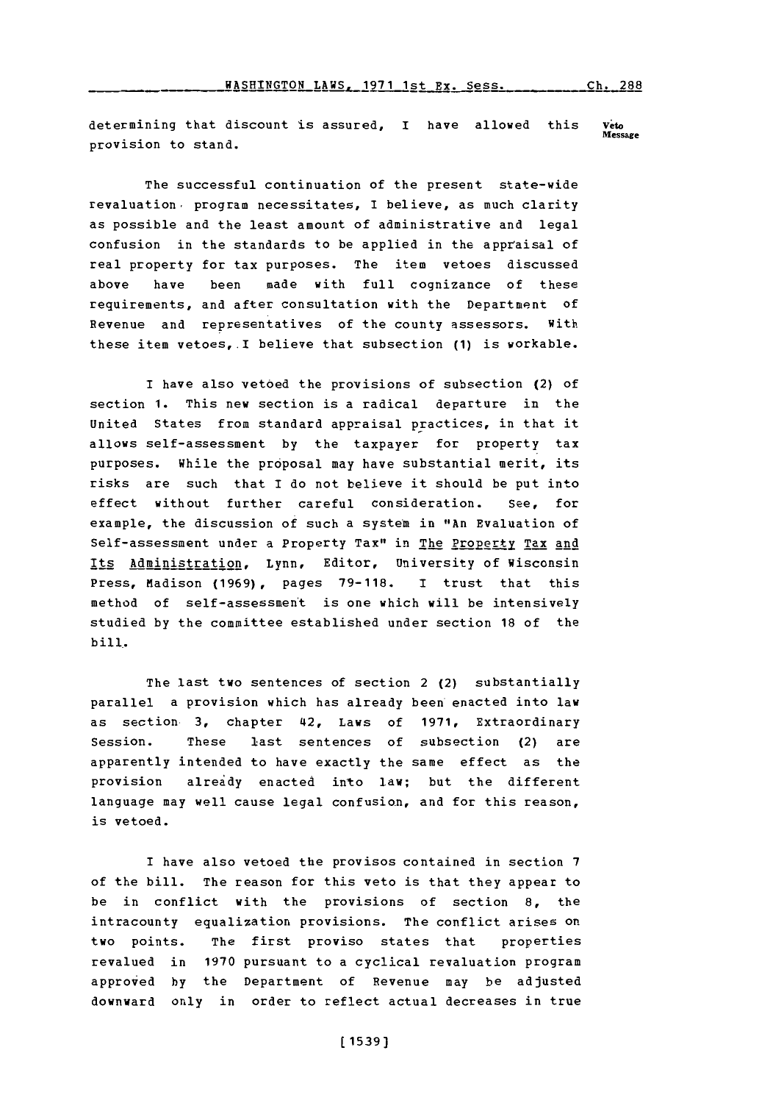#### $\text{HASHINGTON}\_$ LAWS, 1971 1st Ex. Sess. \_\_\_\_\_\_\_\_\_\_\_Ch. 288

determining that discount is assured, I have allowed this **Message** provision to stand.

The successful continuation of the present state-wide revaluation, program necessitates, I believe, as much clarity as possible and the least amount of administrative and legal confusion in the standards to be applied in the appraisal of real property for tax purposes. The item vetoes discussed above have been made with full cognizance of these requirements, and after consultation with the Department of Revenue and representatives of the county assessors. with these item vetoes,.I believe that subsection **(1)** is workable.

I have also vetoed the provisions of subsection (2) of section **1.** This new section is a radical departure in the United States from standard appraisal practices, in that it allows self-assessment **by** the taxpayer for property tax purposes. While the proposal may have substantial merit, its risks are such that I do not believe it should be put into effect without further careful consideration. See, for example, the discussion of such a system in "An Evaluation of Self-assessment under a Property Tax" in The Property Tax and Its Administration, Lynn, Editor, University of Wisconsin Press, Madison (1969), pages 79-118. I trust that this method of self-assessmen't is one which will be intensively studied **by** the committee established under section **18** of the bill.

The last two sentences of section 2 (2) substantially parallel a provision which has already been enacted into law as section **3,** chapter 42, Laws of **1971,** Extraordinary Session. These last sentences of subsection (2) are apparently intended to have exactly the same effect as the provision already enacted into law; but the different language may well cause legal confusion, and for this reason, is vetoed.

I have also vetoed the provisos contained in section **7** of the bill. The reason for this veto is that they appear to be in conflict with the provisions of section **8,** the intracounty equalization provisions. The conflict arises on two points. The first proviso states that properties revalued in **1970** pursuant to a cyclical revaluation program approved **by** the Department of Revenue may be adjusted downward only in order to reflect actual decreases in true